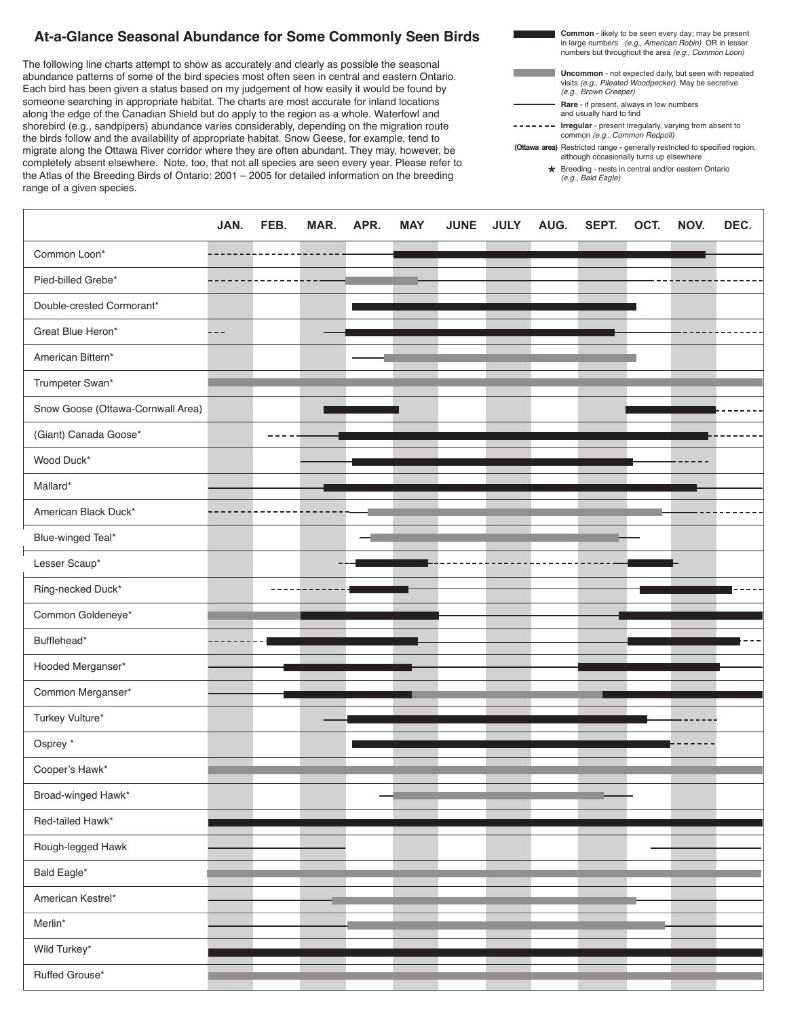## At-a-Glance Seasonal Abundance for Some Commonly Seen Birds<br>
in large numbers (e.g.,<br>
numbers but throughout

Each bird has been given a status based on my judgement of now easily it would be found by<br>someone searching in appropriate habitat. The charts are most accurate for inland locations example comparing a uppreparite maximum of share in the computation of minimal examines. shorebird (e.g., sandpipers) abundance varies considerably, depending on the migration route the birds follow and the availability of appropriate habitat. Snow Geese, for example, tend to migrate along the Ottawa Hiver comuor where they are often abundant. They may, nowever, be<br>completely absent elsewhere. Note, too, that not all species are seen every year. Please refer to *Atlas of the Breeding Birds of Ontario: 2001-2005* for detailed information on the Atlas of the Breeding Birds of Ontario: 2001 – 2005 for detailed information on the breeding range of a given species. The following line charts attempt to show as accurately and clearly as possible the seasonal abundance patterns of some of the bird species most often seen in central and eastern Ontario. Each bird has been given a status based on my judgement of how easily it would be found by migrate along the Ottawa River corridor where they are often abundant. They may, however, be

| <b>Common</b> - likely to be seen every day; may be present<br>in large numbers (e.g., American Robin) OR in lesser<br>numbers but throughout the area (e.g., Common Loon) |
|----------------------------------------------------------------------------------------------------------------------------------------------------------------------------|
| <b>Uncommon</b> - not expected daily, but seen with repeated<br>visits (e.g., Pileated Woodpecker). May be secretive<br>(e.g., Brown Creeper)                              |
| Rare - if present, always in low numbers<br>and usually hard to find                                                                                                       |
| <b>Irregular</b> - present irregularly, varying from absent to<br>common (e.g., Common Redpoll)                                                                            |
| (Ottawa area) Restricted range - generally restricted to specified region,<br>although occasionally turns up elsewhere                                                     |
| ★ Breeding - nests in central and/or eastern Ontario<br>(e.g., Bald Eagle)                                                                                                 |
|                                                                                                                                                                            |

|                                   | JAN.  | FEB. | MAR. | APR. | <b>MAY</b> | <b>JUNE</b> | <b>JULY</b> | AUG. | SEPT. | OCT. | NOV. | DEC. |
|-----------------------------------|-------|------|------|------|------------|-------------|-------------|------|-------|------|------|------|
| Common Loon*                      |       |      |      |      |            |             |             |      |       |      |      |      |
| Pied-billed Grebe*                |       |      |      |      |            |             |             |      |       |      |      |      |
| Double-crested Cormorant*         |       |      |      |      |            |             |             |      |       |      |      |      |
| Great Blue Heron*                 | - - - |      |      |      |            |             |             |      |       |      |      |      |
| American Bittern*                 |       |      |      |      |            |             |             |      |       |      |      |      |
| Trumpeter Swan*                   |       |      |      |      |            |             |             |      |       |      |      |      |
| Snow Goose (Ottawa-Cornwall Area) |       |      |      |      |            |             |             |      |       |      |      |      |
| (Giant) Canada Goose*             |       |      |      |      |            |             |             |      |       |      |      |      |
| Wood Duck*                        |       |      |      |      |            |             |             |      |       |      |      |      |
| Mallard*                          |       |      |      |      |            |             |             |      |       |      |      |      |
| American Black Duck*              |       |      |      |      |            |             |             |      |       |      |      |      |
| Blue-winged Teal*                 |       |      |      |      |            |             |             |      |       |      |      |      |
| Lesser Scaup*                     |       |      |      |      |            |             |             |      |       |      |      |      |
| Ring-necked Duck*                 |       |      |      |      |            |             |             |      |       |      |      |      |
| Common Goldeneye*                 |       |      |      |      |            |             |             |      |       |      |      |      |
| Bufflehead*                       |       |      |      |      |            |             |             |      |       |      |      |      |
| Hooded Merganser*                 |       |      |      |      |            |             |             |      |       |      |      |      |
| Common Merganser*                 |       |      |      |      |            |             |             |      |       |      |      |      |
| Turkey Vulture*                   |       |      |      |      |            |             |             |      |       |      |      |      |
| Osprey *                          |       |      |      |      |            |             |             |      |       |      |      |      |
| Cooper's Hawk*                    |       |      |      |      |            |             |             |      |       |      |      |      |
| Broad-winged Hawk*                |       |      |      |      |            |             |             |      |       |      |      |      |
| Red-tailed Hawk*                  |       |      |      |      |            |             |             |      |       |      |      |      |
| Rough-legged Hawk                 |       |      |      |      |            |             |             |      |       |      |      |      |
| Bald Eagle*                       |       |      |      |      |            |             |             |      |       |      |      |      |
| American Kestrel*                 |       |      |      |      |            |             |             |      |       |      |      |      |
| Merlin*                           |       |      |      |      |            |             |             |      |       |      |      |      |
| Wild Turkey*                      |       |      |      |      |            |             |             |      |       |      |      |      |
| Ruffed Grouse*                    |       |      |      |      |            |             |             |      |       |      |      |      |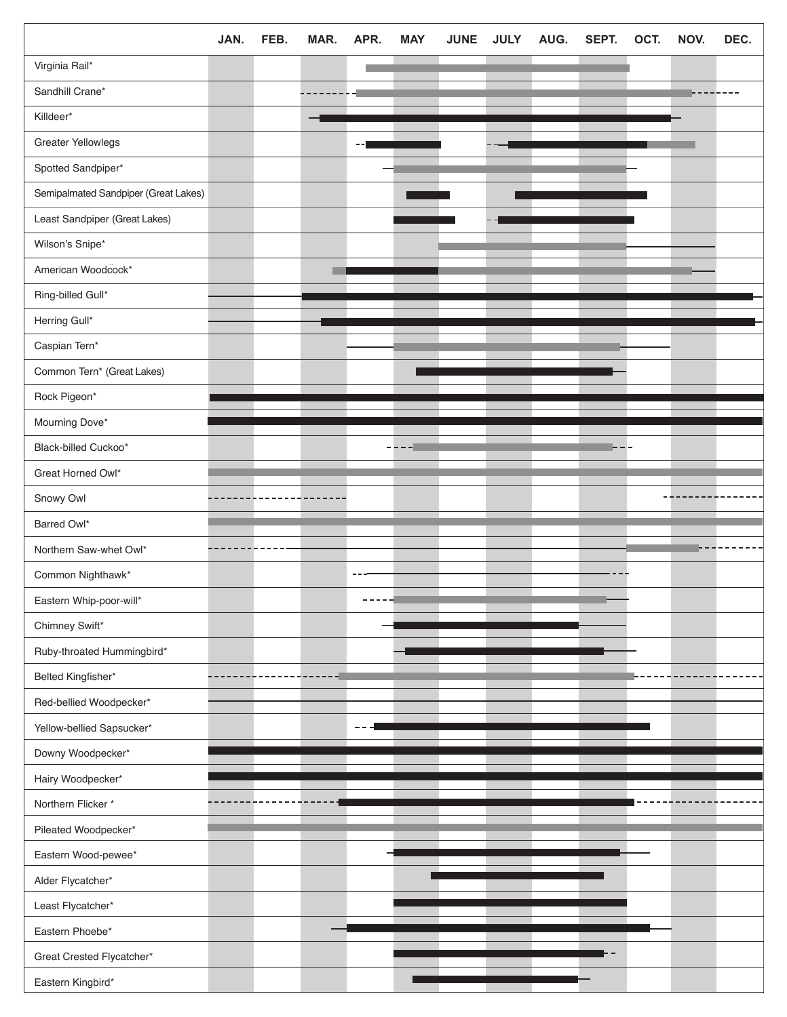|                                      | JAN. | FEB. | MAR. | APR. | <b>MAY</b> | <b>JUNE</b>                                                                                                    | <b>JULY</b> | AUG. | SEPT. | OCT. | NOV. | DEC. |
|--------------------------------------|------|------|------|------|------------|----------------------------------------------------------------------------------------------------------------|-------------|------|-------|------|------|------|
| Virginia Rail*                       |      |      |      |      |            |                                                                                                                |             |      |       |      |      |      |
| Sandhill Crane*                      |      |      |      |      |            |                                                                                                                |             |      |       |      |      |      |
| Killdeer*                            |      |      |      |      |            |                                                                                                                |             |      |       |      |      |      |
| Greater Yellowlegs                   |      |      |      |      |            |                                                                                                                |             |      |       |      |      |      |
| Spotted Sandpiper*                   |      |      |      |      |            |                                                                                                                |             |      |       |      |      |      |
| Semipalmated Sandpiper (Great Lakes) |      |      |      |      |            |                                                                                                                |             |      |       |      |      |      |
| Least Sandpiper (Great Lakes)        |      |      |      |      |            |                                                                                                                |             |      |       |      |      |      |
| Wilson's Snipe*                      |      |      |      |      |            |                                                                                                                |             |      |       |      |      |      |
| American Woodcock*                   |      |      |      |      |            |                                                                                                                |             |      |       |      |      |      |
| Ring-billed Gull*                    |      |      |      |      |            |                                                                                                                |             |      |       |      |      |      |
| Herring Gull*                        |      |      |      |      |            |                                                                                                                |             |      |       |      |      |      |
| Caspian Tern*                        |      |      |      |      |            |                                                                                                                |             |      |       |      |      |      |
| Common Tern* (Great Lakes)           |      |      |      |      |            |                                                                                                                |             |      |       |      |      |      |
| Rock Pigeon*                         |      |      |      |      |            |                                                                                                                |             |      |       |      |      |      |
| Mourning Dove*                       |      |      |      |      |            |                                                                                                                |             |      |       |      |      |      |
| Black-billed Cuckoo*                 |      |      |      |      |            |                                                                                                                |             |      |       |      |      |      |
| Great Horned Owl*                    |      |      |      |      |            |                                                                                                                |             |      |       |      |      |      |
| Snowy Owl                            |      |      |      |      |            |                                                                                                                |             |      |       |      |      |      |
| Barred Owl*                          |      |      |      |      |            |                                                                                                                |             |      |       |      |      |      |
| Northern Saw-whet Owl*               |      |      |      |      |            |                                                                                                                |             |      |       |      |      |      |
| Common Nighthawk*                    |      |      |      |      |            |                                                                                                                |             |      |       |      |      |      |
| Eastern Whip-poor-will*              |      |      |      |      |            |                                                                                                                |             |      |       |      |      |      |
| Chimney Swift*                       |      |      |      |      |            |                                                                                                                |             |      |       |      |      |      |
| Ruby-throated Hummingbird*           |      |      |      |      |            |                                                                                                                |             |      |       |      |      |      |
| Belted Kingfisher*                   |      |      |      |      |            |                                                                                                                |             |      |       |      |      |      |
| Red-bellied Woodpecker*              |      |      |      |      |            |                                                                                                                |             |      |       |      |      |      |
| Yellow-bellied Sapsucker*            |      |      |      |      |            |                                                                                                                |             |      |       |      |      |      |
| Downy Woodpecker*                    |      |      |      |      |            |                                                                                                                |             |      |       |      |      |      |
| Hairy Woodpecker*                    |      |      |      |      |            |                                                                                                                |             |      |       |      |      |      |
| Northern Flicker*                    |      |      |      |      |            |                                                                                                                |             |      |       |      |      |      |
| Pileated Woodpecker*                 |      |      |      |      |            |                                                                                                                |             |      |       |      |      |      |
| Eastern Wood-pewee*                  |      |      |      |      |            |                                                                                                                |             |      |       |      |      |      |
| Alder Flycatcher*                    |      |      |      |      |            |                                                                                                                |             |      |       |      |      |      |
| Least Flycatcher*                    |      |      |      |      |            |                                                                                                                |             |      |       |      |      |      |
| Eastern Phoebe*                      |      |      |      |      |            |                                                                                                                |             |      |       |      |      |      |
| Great Crested Flycatcher*            |      |      |      |      |            | a a serie de la construcción de la construcción de la construcción de la construcción de la construcción de la |             |      |       |      |      |      |
| Eastern Kingbird*                    |      |      |      |      |            |                                                                                                                |             |      |       |      |      |      |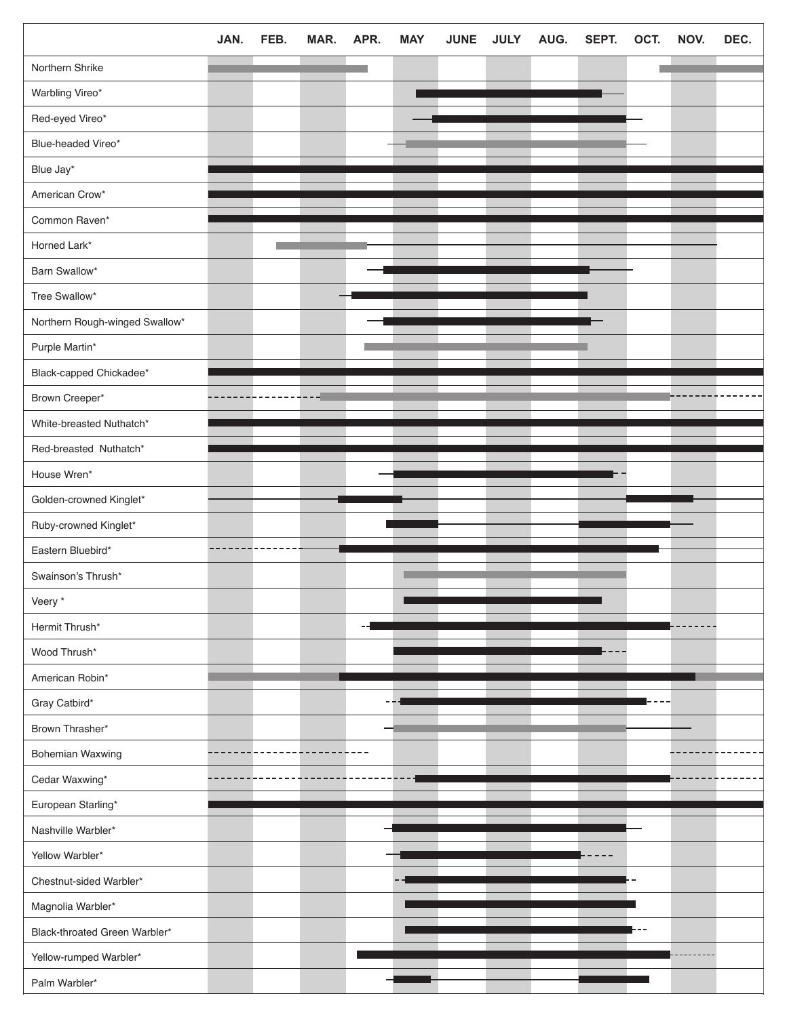|                                | JAN. | FEB. | MAR. | APR. | <b>MAY</b> | <b>JUNE</b> | <b>JULY</b> | AUG. | SEPT. | OCT. | NOV. | DEC. |
|--------------------------------|------|------|------|------|------------|-------------|-------------|------|-------|------|------|------|
| Northern Shrike                |      |      |      |      |            |             |             |      |       |      |      |      |
| Warbling Vireo*                |      |      |      |      |            |             |             |      |       |      |      |      |
| Red-eyed Vireo*                |      |      |      |      |            |             |             |      |       |      |      |      |
| Blue-headed Vireo*             |      |      |      |      |            |             |             |      |       |      |      |      |
| Blue Jay*                      |      |      |      |      |            |             |             |      |       |      |      |      |
| American Crow*                 |      |      |      |      |            |             |             |      |       |      |      |      |
| Common Raven*                  |      |      |      |      |            |             |             |      |       |      |      |      |
| Horned Lark*                   |      |      |      |      |            |             |             |      |       |      |      |      |
| Barn Swallow*                  |      |      |      |      |            |             |             |      |       |      |      |      |
| Tree Swallow*                  |      |      |      |      |            |             |             |      |       |      |      |      |
| Northern Rough-winged Swallow* |      |      |      |      |            |             |             |      |       |      |      |      |
| Purple Martin*                 |      |      |      |      |            |             |             |      |       |      |      |      |
| Black-capped Chickadee*        |      |      |      |      |            |             |             |      |       |      |      |      |
| Brown Creeper*                 |      |      |      |      |            |             |             |      |       |      |      |      |
| White-breasted Nuthatch*       |      |      |      |      |            |             |             |      |       |      |      |      |
| Red-breasted Nuthatch*         |      |      |      |      |            |             |             |      |       |      |      |      |
| House Wren*                    |      |      |      |      |            |             |             |      |       |      |      |      |
| Golden-crowned Kinglet*        |      |      |      |      |            |             |             |      |       |      |      |      |
| Ruby-crowned Kinglet*          |      |      |      |      |            |             |             |      |       |      |      |      |
| Eastern Bluebird*              |      |      |      |      |            |             |             |      |       |      |      |      |
| Swainson's Thrush*             |      |      |      |      |            |             |             |      |       |      |      |      |
| Veery *                        |      |      |      |      |            |             |             |      |       |      |      |      |
| Hermit Thrush*                 |      |      |      |      |            |             |             |      |       |      |      |      |
| Wood Thrush*                   |      |      |      |      |            |             |             |      |       |      |      |      |
| American Robin*                |      |      |      |      |            |             |             |      |       |      |      |      |
| Gray Catbird*                  |      |      |      |      |            |             |             |      |       |      |      |      |
| Brown Thrasher*                |      |      |      |      |            |             |             |      |       |      |      |      |
| Bohemian Waxwing               |      |      |      |      |            |             |             |      |       |      |      |      |
| Cedar Waxwing*                 |      |      |      |      |            |             |             |      |       |      |      |      |
| European Starling*             |      |      |      |      |            |             |             |      |       |      |      |      |
| Nashville Warbler*             |      |      |      |      |            |             |             |      |       |      |      |      |
| Yellow Warbler*                |      |      |      |      |            |             |             |      |       |      |      |      |
| Chestnut-sided Warbler*        |      |      |      |      |            |             |             |      |       |      |      |      |
| Magnolia Warbler*              |      |      |      |      |            |             |             |      |       |      |      |      |
| Black-throated Green Warbler*  |      |      |      |      |            |             |             |      |       |      |      |      |
| Yellow-rumped Warbler*         |      |      |      |      |            |             |             |      |       |      |      |      |
| Palm Warbler*                  |      |      |      |      |            |             |             |      |       |      |      |      |